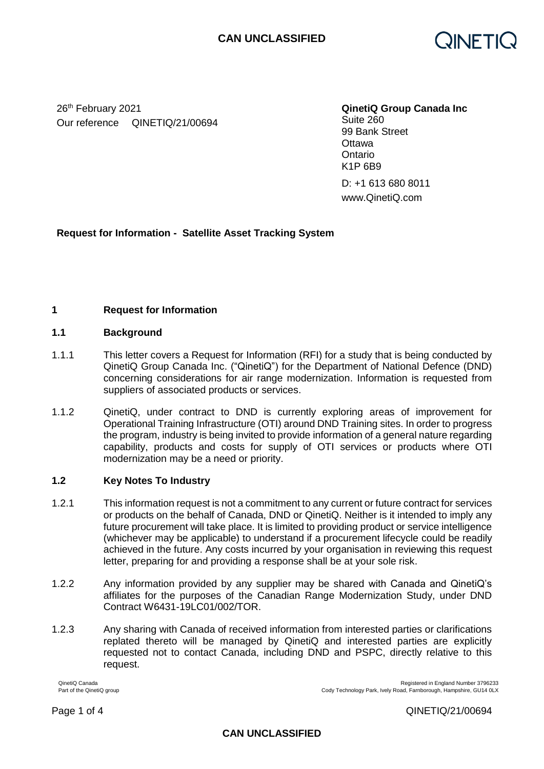

26th February 2021 Our reference QINETIQ/21/00694 **QinetiQ Group Canada Inc** 

Suite 260 99 Bank Street **Ottawa Ontario** K1P 6B9

D: +1 613 680 8011 www.QinetiQ.com

# **Request for Information - Satellite Asset Tracking System**

### **1 Request for Information**

### **1.1 Background**

- 1.1.1 This letter covers a Request for Information (RFI) for a study that is being conducted by QinetiQ Group Canada Inc. ("QinetiQ") for the Department of National Defence (DND) concerning considerations for air range modernization. Information is requested from suppliers of associated products or services.
- 1.1.2 QinetiQ, under contract to DND is currently exploring areas of improvement for Operational Training Infrastructure (OTI) around DND Training sites. In order to progress the program, industry is being invited to provide information of a general nature regarding capability, products and costs for supply of OTI services or products where OTI modernization may be a need or priority.

### **1.2 Key Notes To Industry**

- 1.2.1 This information request is not a commitment to any current or future contract for services or products on the behalf of Canada, DND or QinetiQ. Neither is it intended to imply any future procurement will take place. It is limited to providing product or service intelligence (whichever may be applicable) to understand if a procurement lifecycle could be readily achieved in the future. Any costs incurred by your organisation in reviewing this request letter, preparing for and providing a response shall be at your sole risk.
- 1.2.2 Any information provided by any supplier may be shared with Canada and QinetiQ's affiliates for the purposes of the Canadian Range Modernization Study, under DND Contract W6431-19LC01/002/TOR.
- 1.2.3 Any sharing with Canada of received information from interested parties or clarifications replated thereto will be managed by QinetiQ and interested parties are explicitly requested not to contact Canada, including DND and PSPC, directly relative to this request.

QinetiQ Canada Registered in England Number 3796233<br>Part of the QinetiQ group<br>Part of the QinetiQ group

Page 1 of 4 QINETIQ/21/00694

Cody Technology Park, Ively Road, Farnborough, Hampshire, GU14 0LX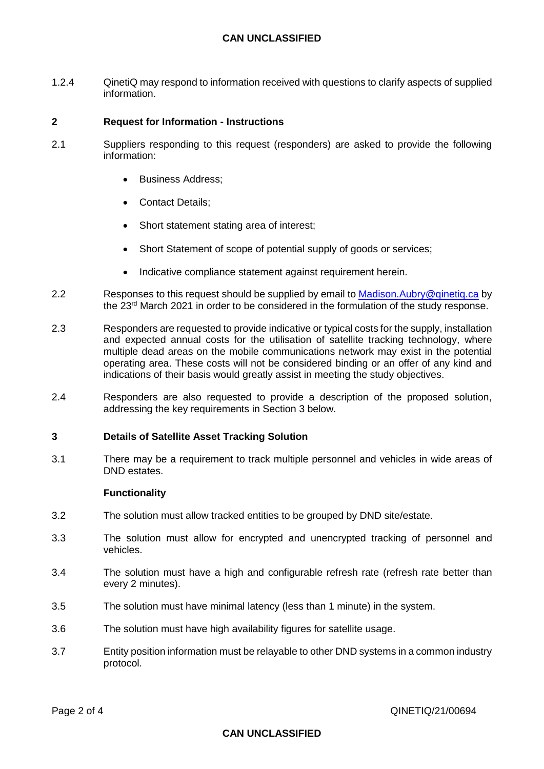## **CAN UNCLASSIFIED**

1.2.4 QinetiQ may respond to information received with questions to clarify aspects of supplied information.

### **2 Request for Information - Instructions**

- 2.1 Suppliers responding to this request (responders) are asked to provide the following information:
	- Business Address;
	- Contact Details:
	- Short statement stating area of interest;
	- Short Statement of scope of potential supply of goods or services;
	- Indicative compliance statement against requirement herein.
- 2.2 Responses to this request should be supplied by email to Madison. Aubry@qinetiq.ca by the 23rd March 2021 in order to be considered in the formulation of the study response.
- 2.3 Responders are requested to provide indicative or typical costs for the supply, installation and expected annual costs for the utilisation of satellite tracking technology, where multiple dead areas on the mobile communications network may exist in the potential operating area. These costs will not be considered binding or an offer of any kind and indications of their basis would greatly assist in meeting the study objectives.
- 2.4 Responders are also requested to provide a description of the proposed solution, addressing the key requirements in Section 3 below.

### **3 Details of Satellite Asset Tracking Solution**

3.1 There may be a requirement to track multiple personnel and vehicles in wide areas of DND estates.

#### **Functionality**

- 3.2 The solution must allow tracked entities to be grouped by DND site/estate.
- 3.3 The solution must allow for encrypted and unencrypted tracking of personnel and vehicles.
- 3.4 The solution must have a high and configurable refresh rate (refresh rate better than every 2 minutes).
- 3.5 The solution must have minimal latency (less than 1 minute) in the system.
- 3.6 The solution must have high availability figures for satellite usage.
- 3.7 Entity position information must be relayable to other DND systems in a common industry protocol.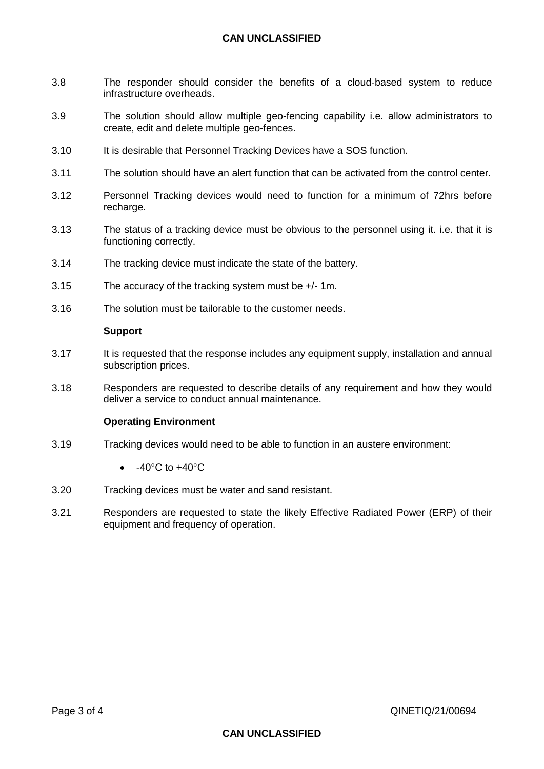## **CAN UNCLASSIFIED**

- 3.8 The responder should consider the benefits of a cloud-based system to reduce infrastructure overheads.
- 3.9 The solution should allow multiple geo-fencing capability i.e. allow administrators to create, edit and delete multiple geo-fences.
- 3.10 It is desirable that Personnel Tracking Devices have a SOS function.
- 3.11 The solution should have an alert function that can be activated from the control center.
- 3.12 Personnel Tracking devices would need to function for a minimum of 72hrs before recharge.
- 3.13 The status of a tracking device must be obvious to the personnel using it. i.e. that it is functioning correctly.
- 3.14 The tracking device must indicate the state of the battery.
- 3.15 The accuracy of the tracking system must be +/- 1m.
- 3.16 The solution must be tailorable to the customer needs.

#### **Support**

- 3.17 It is requested that the response includes any equipment supply, installation and annual subscription prices.
- 3.18 Responders are requested to describe details of any requirement and how they would deliver a service to conduct annual maintenance.

#### **Operating Environment**

- 3.19 Tracking devices would need to be able to function in an austere environment:
	- $\bullet$  -40°C to  $+40^{\circ}$ C
- 3.20 Tracking devices must be water and sand resistant.
- 3.21 Responders are requested to state the likely Effective Radiated Power (ERP) of their equipment and frequency of operation.